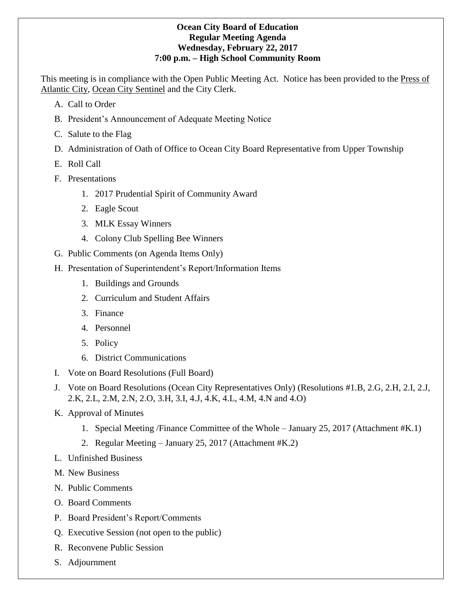### **Ocean City Board of Education Regular Meeting Agenda Wednesday, February 22, 2017 7:00 p.m. – High School Community Room**

This meeting is in compliance with the Open Public Meeting Act. Notice has been provided to the Press of Atlantic City, Ocean City Sentinel and the City Clerk.

- A. Call to Order
- B. President's Announcement of Adequate Meeting Notice
- C. Salute to the Flag
- D. Administration of Oath of Office to Ocean City Board Representative from Upper Township
- E. Roll Call
- F. Presentations
	- 1. 2017 Prudential Spirit of Community Award
	- 2. Eagle Scout
	- 3. MLK Essay Winners
	- 4. Colony Club Spelling Bee Winners
- G. Public Comments (on Agenda Items Only)
- H. Presentation of Superintendent's Report/Information Items
	- 1. Buildings and Grounds
	- 2. Curriculum and Student Affairs
	- 3. Finance
	- 4. Personnel
	- 5. Policy
	- 6. District Communications
- I. Vote on Board Resolutions (Full Board)
- J. Vote on Board Resolutions (Ocean City Representatives Only) (Resolutions #1.B, 2.G, 2.H, 2.I, 2.J, 2.K, 2.L, 2.M, 2.N, 2.O, 3.H, 3.I, 4.J, 4.K, 4.L, 4.M, 4.N and 4.O)
- K. Approval of Minutes
	- 1. Special Meeting /Finance Committee of the Whole January 25, 2017 (Attachment #K.1)
	- 2. Regular Meeting January 25, 2017 (Attachment #K.2)
- L. Unfinished Business
- M. New Business
- N. Public Comments
- O. Board Comments
- P. Board President's Report/Comments
- Q. Executive Session (not open to the public)
- R. Reconvene Public Session
- S. Adjournment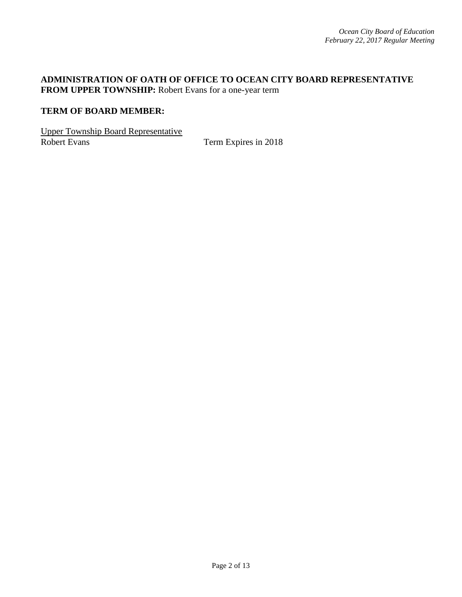## **ADMINISTRATION OF OATH OF OFFICE TO OCEAN CITY BOARD REPRESENTATIVE FROM UPPER TOWNSHIP:** Robert Evans for a one-year term

### **TERM OF BOARD MEMBER:**

Upper Township Board Representative

Term Expires in 2018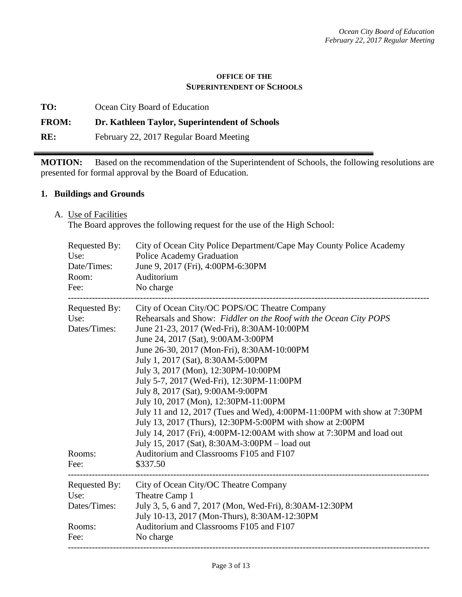#### **OFFICE OF THE SUPERINTENDENT OF SCHOOLS**

**TO:** Ocean City Board of Education

### **FROM: Dr. Kathleen Taylor, Superintendent of Schools**

**RE:** February 22, 2017 Regular Board Meeting

**MOTION:** Based on the recommendation of the Superintendent of Schools, the following resolutions are presented for formal approval by the Board of Education.

#### **1. Buildings and Grounds**

A. Use of Facilities

The Board approves the following request for the use of the High School:

| Requested By:<br>Use:<br>Date/Times:<br>Room:<br>Fee:   | City of Ocean City Police Department/Cape May County Police Academy<br>Police Academy Graduation<br>June 9, 2017 (Fri), 4:00PM-6:30PM<br>Auditorium<br>No charge                                                                                                                                                                                                                                                                                                                                                                                                                                                                                                                                                                                                                   |
|---------------------------------------------------------|------------------------------------------------------------------------------------------------------------------------------------------------------------------------------------------------------------------------------------------------------------------------------------------------------------------------------------------------------------------------------------------------------------------------------------------------------------------------------------------------------------------------------------------------------------------------------------------------------------------------------------------------------------------------------------------------------------------------------------------------------------------------------------|
| Requested By:<br>Use:<br>Dates/Times:<br>Rooms:<br>Fee: | City of Ocean City/OC POPS/OC Theatre Company<br>Rehearsals and Show: Fiddler on the Roof with the Ocean City POPS<br>June 21-23, 2017 (Wed-Fri), 8:30AM-10:00PM<br>June 24, 2017 (Sat), 9:00AM-3:00PM<br>June 26-30, 2017 (Mon-Fri), 8:30AM-10:00PM<br>July 1, 2017 (Sat), 8:30AM-5:00PM<br>July 3, 2017 (Mon), 12:30PM-10:00PM<br>July 5-7, 2017 (Wed-Fri), 12:30PM-11:00PM<br>July 8, 2017 (Sat), 9:00AM-9:00PM<br>July 10, 2017 (Mon), 12:30PM-11:00PM<br>July 11 and 12, 2017 (Tues and Wed), 4:00PM-11:00PM with show at 7:30PM<br>July 13, 2017 (Thurs), 12:30PM-5:00PM with show at 2:00PM<br>July 14, 2017 (Fri), 4:00PM-12:00AM with show at 7:30PM and load out<br>July 15, 2017 (Sat), 8:30AM-3:00PM – load out<br>Auditorium and Classrooms F105 and F107<br>\$337.50 |
| Requested By:<br>Use:<br>Dates/Times:<br>Rooms:<br>Fee: | City of Ocean City/OC Theatre Company<br>Theatre Camp 1<br>July 3, 5, 6 and 7, 2017 (Mon, Wed-Fri), 8:30AM-12:30PM<br>July 10-13, 2017 (Mon-Thurs), 8:30AM-12:30PM<br>Auditorium and Classrooms F105 and F107<br>No charge                                                                                                                                                                                                                                                                                                                                                                                                                                                                                                                                                         |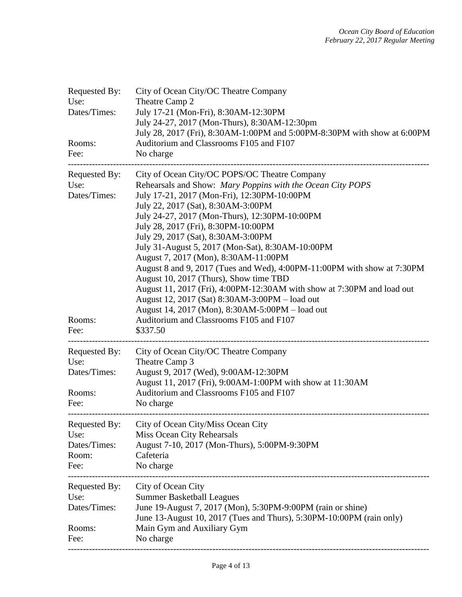| Requested By:<br>Use:<br>Dates/Times:<br>Rooms:<br>Fee: | City of Ocean City/OC Theatre Company<br>Theatre Camp 2<br>July 17-21 (Mon-Fri), 8:30AM-12:30PM<br>July 24-27, 2017 (Mon-Thurs), 8:30AM-12:30pm<br>July 28, 2017 (Fri), 8:30AM-1:00PM and 5:00PM-8:30PM with show at 6:00PM<br>Auditorium and Classrooms F105 and F107<br>No charge                                                                                                                                                                                                                                                                                                                                                                                                                                                                                                   |
|---------------------------------------------------------|---------------------------------------------------------------------------------------------------------------------------------------------------------------------------------------------------------------------------------------------------------------------------------------------------------------------------------------------------------------------------------------------------------------------------------------------------------------------------------------------------------------------------------------------------------------------------------------------------------------------------------------------------------------------------------------------------------------------------------------------------------------------------------------|
| Requested By:<br>Use:<br>Dates/Times:<br>Rooms:<br>Fee: | City of Ocean City/OC POPS/OC Theatre Company<br>Rehearsals and Show: Mary Poppins with the Ocean City POPS<br>July 17-21, 2017 (Mon-Fri), 12:30PM-10:00PM<br>July 22, 2017 (Sat), 8:30AM-3:00PM<br>July 24-27, 2017 (Mon-Thurs), 12:30PM-10:00PM<br>July 28, 2017 (Fri), 8:30PM-10:00PM<br>July 29, 2017 (Sat), 8:30AM-3:00PM<br>July 31-August 5, 2017 (Mon-Sat), 8:30AM-10:00PM<br>August 7, 2017 (Mon), 8:30AM-11:00PM<br>August 8 and 9, 2017 (Tues and Wed), 4:00PM-11:00PM with show at 7:30PM<br>August 10, 2017 (Thurs), Show time TBD<br>August 11, 2017 (Fri), 4:00PM-12:30AM with show at 7:30PM and load out<br>August 12, 2017 (Sat) 8:30AM-3:00PM - load out<br>August 14, 2017 (Mon), 8:30AM-5:00PM - load out<br>Auditorium and Classrooms F105 and F107<br>\$337.50 |
| Requested By:<br>Use:<br>Dates/Times:<br>Rooms:<br>Fee: | City of Ocean City/OC Theatre Company<br>Theatre Camp 3<br>August 9, 2017 (Wed), 9:00AM-12:30PM<br>August 11, 2017 (Fri), 9:00AM-1:00PM with show at 11:30AM<br>Auditorium and Classrooms F105 and F107<br>No charge                                                                                                                                                                                                                                                                                                                                                                                                                                                                                                                                                                  |
| Requested By:<br>Use:<br>Dates/Times:<br>Room:<br>Fee:  | City of Ocean City/Miss Ocean City<br>Miss Ocean City Rehearsals<br>August 7-10, 2017 (Mon-Thurs), 5:00PM-9:30PM<br>Cafeteria<br>No charge                                                                                                                                                                                                                                                                                                                                                                                                                                                                                                                                                                                                                                            |
| Requested By:<br>Use:<br>Dates/Times:<br>Rooms:<br>Fee: | City of Ocean City<br><b>Summer Basketball Leagues</b><br>June 19-August 7, 2017 (Mon), 5:30PM-9:00PM (rain or shine)<br>June 13-August 10, 2017 (Tues and Thurs), 5:30PM-10:00PM (rain only)<br>Main Gym and Auxiliary Gym<br>No charge                                                                                                                                                                                                                                                                                                                                                                                                                                                                                                                                              |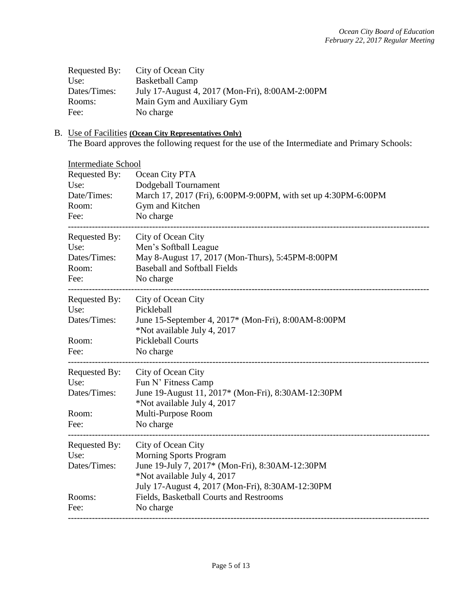| Requested By: | City of Ocean City                              |
|---------------|-------------------------------------------------|
| Use:          | <b>Basketball Camp</b>                          |
| Dates/Times:  | July 17-August 4, 2017 (Mon-Fri), 8:00AM-2:00PM |
| Rooms:        | Main Gym and Auxiliary Gym                      |
| Fee:          | No charge                                       |

# B. Use of Facilities **(Ocean City Representatives Only)**

The Board approves the following request for the use of the Intermediate and Primary Schools:

| <b>Intermediate School</b>                                                         |  |  |  |  |
|------------------------------------------------------------------------------------|--|--|--|--|
| Ocean City PTA                                                                     |  |  |  |  |
| Dodgeball Tournament                                                               |  |  |  |  |
| March 17, 2017 (Fri), 6:00PM-9:00PM, with set up 4:30PM-6:00PM                     |  |  |  |  |
| Gym and Kitchen                                                                    |  |  |  |  |
| No charge                                                                          |  |  |  |  |
| City of Ocean City                                                                 |  |  |  |  |
| Men's Softball League                                                              |  |  |  |  |
| May 8-August 17, 2017 (Mon-Thurs), 5:45PM-8:00PM                                   |  |  |  |  |
| <b>Baseball and Softball Fields</b>                                                |  |  |  |  |
| No charge                                                                          |  |  |  |  |
| City of Ocean City                                                                 |  |  |  |  |
| Pickleball                                                                         |  |  |  |  |
| June 15-September 4, 2017* (Mon-Fri), 8:00AM-8:00PM<br>*Not available July 4, 2017 |  |  |  |  |
| <b>Pickleball Courts</b>                                                           |  |  |  |  |
| No charge                                                                          |  |  |  |  |
|                                                                                    |  |  |  |  |
| City of Ocean City                                                                 |  |  |  |  |
| Fun N' Fitness Camp                                                                |  |  |  |  |
| June 19-August 11, 2017* (Mon-Fri), 8:30AM-12:30PM<br>*Not available July 4, 2017  |  |  |  |  |
| Multi-Purpose Room                                                                 |  |  |  |  |
| No charge                                                                          |  |  |  |  |
|                                                                                    |  |  |  |  |
| City of Ocean City                                                                 |  |  |  |  |
| <b>Morning Sports Program</b>                                                      |  |  |  |  |
| June 19-July 7, 2017* (Mon-Fri), 8:30AM-12:30PM                                    |  |  |  |  |
| *Not available July 4, 2017                                                        |  |  |  |  |
| July 17-August 4, 2017 (Mon-Fri), 8:30AM-12:30PM                                   |  |  |  |  |
| Fields, Basketball Courts and Restrooms                                            |  |  |  |  |
| No charge                                                                          |  |  |  |  |
|                                                                                    |  |  |  |  |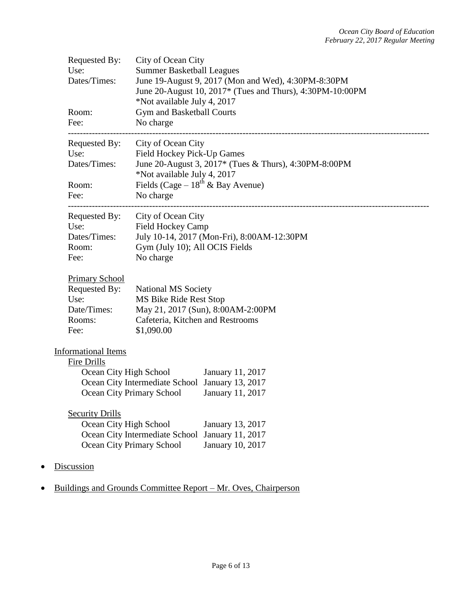| Requested By:<br>Use:<br>Dates/Times:<br>Room:<br>Fee:                                        | City of Ocean City<br><b>Summer Basketball Leagues</b><br>June 19-August 9, 2017 (Mon and Wed), 4:30PM-8:30PM<br>June 20-August 10, 2017* (Tues and Thurs), 4:30PM-10:00PM<br>*Not available July 4, 2017<br>Gym and Basketball Courts<br>No charge |
|-----------------------------------------------------------------------------------------------|-----------------------------------------------------------------------------------------------------------------------------------------------------------------------------------------------------------------------------------------------------|
| Requested By:<br>Use:<br>Dates/Times:<br>Room:<br>Fee:                                        | City of Ocean City<br>Field Hockey Pick-Up Games<br>June 20-August 3, 2017* (Tues & Thurs), 4:30PM-8:00PM<br>*Not available July 4, 2017<br>Fields (Cage – $18^{th}$ & Bay Avenue)<br>No charge                                                     |
| Requested By:<br>Use:<br>Dates/Times:<br>Room:<br>Fee:                                        | City of Ocean City<br><b>Field Hockey Camp</b><br>July 10-14, 2017 (Mon-Fri), 8:00AM-12:30PM<br>Gym (July 10); All OCIS Fields<br>No charge                                                                                                         |
| <b>Primary School</b><br>Requested By:<br>Use:<br>Date/Times:<br>Rooms:<br>Fee:               | <b>National MS Society</b><br>MS Bike Ride Rest Stop<br>May 21, 2017 (Sun), 8:00AM-2:00PM<br>Cafeteria, Kitchen and Restrooms<br>\$1,090.00                                                                                                         |
| <b>Informational Items</b><br>Fire Drills<br>Ocean City High School<br><b>Security Drills</b> | January 11, 2017<br>Ocean City Intermediate School January 13, 2017<br>Ocean City Primary School January 11, 2017                                                                                                                                   |
| Ocean City High School<br><b>Discussion</b>                                                   | January 13, 2017<br>January 11, 2017<br>Ocean City Intermediate School<br>Ocean City Primary School<br>January 10, 2017                                                                                                                             |
|                                                                                               |                                                                                                                                                                                                                                                     |

• Buildings and Grounds Committee Report – Mr. Oves, Chairperson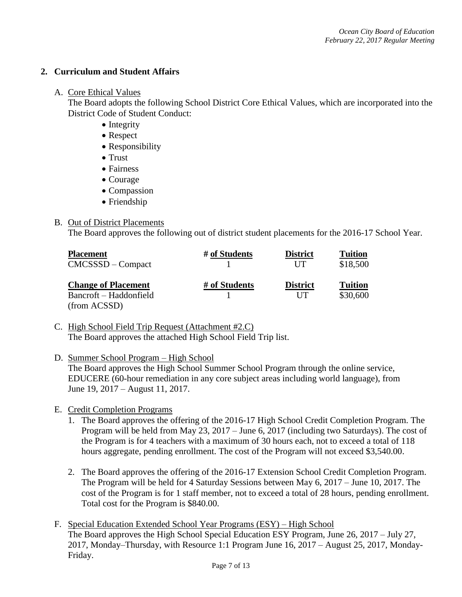### **2. Curriculum and Student Affairs**

### A. Core Ethical Values

The Board adopts the following School District Core Ethical Values, which are incorporated into the District Code of Student Conduct:

- Integrity
- Respect
- Responsibility
- Trust
- Fairness
- Courage
- Compassion
- Friendship

## B. Out of District Placements

The Board approves the following out of district student placements for the 2016-17 School Year.

| <b>Placement</b><br>$CMCSSSD - Compact$ | # of Students | <b>District</b><br>UT | <b>Tuition</b><br>\$18,500 |  |
|-----------------------------------------|---------------|-----------------------|----------------------------|--|
| <b>Change of Placement</b>              | # of Students | <b>District</b>       | <b>Tuition</b>             |  |
| Bancroft – Haddonfield                  |               | UT                    | \$30,600                   |  |
| (from ACSSD)                            |               |                       |                            |  |

C. High School Field Trip Request (Attachment #2.C) The Board approves the attached High School Field Trip list.

## D. Summer School Program – High School

The Board approves the High School Summer School Program through the online service, EDUCERE (60-hour remediation in any core subject areas including world language), from June 19, 2017 – August 11, 2017.

- E. Credit Completion Programs
	- 1. The Board approves the offering of the 2016-17 High School Credit Completion Program. The Program will be held from May 23, 2017 – June 6, 2017 (including two Saturdays). The cost of the Program is for 4 teachers with a maximum of 30 hours each, not to exceed a total of 118 hours aggregate, pending enrollment. The cost of the Program will not exceed \$3,540.00.
	- 2. The Board approves the offering of the 2016-17 Extension School Credit Completion Program. The Program will be held for 4 Saturday Sessions between May 6, 2017 – June 10, 2017. The cost of the Program is for 1 staff member, not to exceed a total of 28 hours, pending enrollment. Total cost for the Program is \$840.00.
- F. Special Education Extended School Year Programs (ESY) High School The Board approves the High School Special Education ESY Program, June 26, 2017 – July 27, 2017, Monday–Thursday, with Resource 1:1 Program June 16, 2017 – August 25, 2017, Monday-Friday.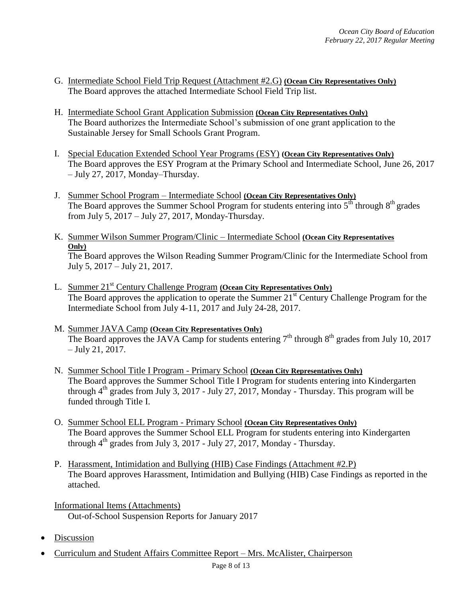- G. Intermediate School Field Trip Request (Attachment #2.G) **(Ocean City Representatives Only)** The Board approves the attached Intermediate School Field Trip list.
- H. Intermediate School Grant Application Submission **(Ocean City Representatives Only)** The Board authorizes the Intermediate School's submission of one grant application to the Sustainable Jersey for Small Schools Grant Program.
- I. Special Education Extended School Year Programs (ESY) **(Ocean City Representatives Only)**  The Board approves the ESY Program at the Primary School and Intermediate School, June 26, 2017 – July 27, 2017, Monday–Thursday.
- J. Summer School Program Intermediate School **(Ocean City Representatives Only)** The Board approves the Summer School Program for students entering into  $5<sup>th</sup>$  through  $8<sup>th</sup>$  grades from July 5, 2017 – July 27, 2017, Monday-Thursday.
- K. Summer Wilson Summer Program/Clinic Intermediate School **(Ocean City Representatives Only)** The Board approves the Wilson Reading Summer Program/Clinic for the Intermediate School from July 5, 2017 – July 21, 2017.
- L. Summer 21st Century Challenge Program **(Ocean City Representatives Only)** The Board approves the application to operate the Summer 21<sup>st</sup> Century Challenge Program for the Intermediate School from July 4-11, 2017 and July 24-28, 2017.
- M. Summer JAVA Camp **(Ocean City Representatives Only)** The Board approves the JAVA Camp for students entering  $7<sup>th</sup>$  through  $8<sup>th</sup>$  grades from July 10, 2017 – July 21, 2017.
- N. Summer School Title I Program Primary School **(Ocean City Representatives Only)** The Board approves the Summer School Title I Program for students entering into Kindergarten through  $4<sup>th</sup>$  grades from July 3, 2017 - July 27, 2017, Monday - Thursday. This program will be funded through Title I.
- O. Summer School ELL Program Primary School **(Ocean City Representatives Only)** The Board approves the Summer School ELL Program for students entering into Kindergarten through  $4<sup>th</sup>$  grades from July 3, 2017 - July 27, 2017, Monday - Thursday.
- P. Harassment, Intimidation and Bullying (HIB) Case Findings (Attachment #2.P) The Board approves Harassment, Intimidation and Bullying (HIB) Case Findings as reported in the attached.
- Informational Items (Attachments) Out-of-School Suspension Reports for January 2017
- Discussion
- Curriculum and Student Affairs Committee Report Mrs. McAlister, Chairperson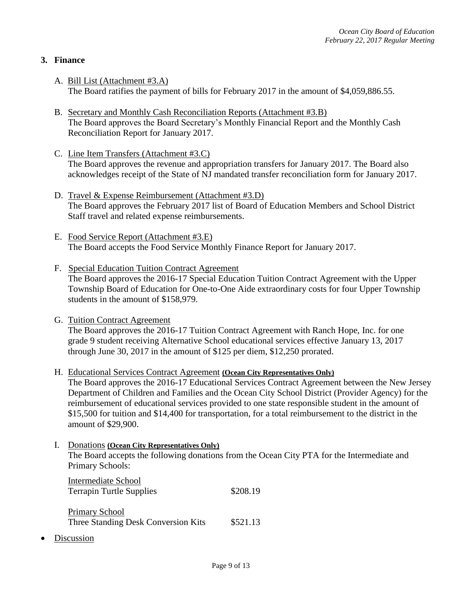## **3. Finance**

- A. Bill List (Attachment #3.A) The Board ratifies the payment of bills for February 2017 in the amount of \$4,059,886.55.
- B. Secretary and Monthly Cash Reconciliation Reports (Attachment #3.B) The Board approves the Board Secretary's Monthly Financial Report and the Monthly Cash Reconciliation Report for January 2017.
- C. Line Item Transfers (Attachment #3.C) The Board approves the revenue and appropriation transfers for January 2017. The Board also acknowledges receipt of the State of NJ mandated transfer reconciliation form for January 2017.
- D. Travel & Expense Reimbursement (Attachment #3.D) The Board approves the February 2017 list of Board of Education Members and School District Staff travel and related expense reimbursements.
- E. Food Service Report (Attachment #3.E) The Board accepts the Food Service Monthly Finance Report for January 2017.
- F. Special Education Tuition Contract Agreement The Board approves the 2016-17 Special Education Tuition Contract Agreement with the Upper Township Board of Education for One-to-One Aide extraordinary costs for four Upper Township students in the amount of \$158,979.
- G. Tuition Contract Agreement The Board approves the 2016-17 Tuition Contract Agreement with Ranch Hope, Inc. for one grade 9 student receiving Alternative School educational services effective January 13, 2017 through June 30, 2017 in the amount of \$125 per diem, \$12,250 prorated.
- H. Educational Services Contract Agreement **(Ocean City Representatives Only)**

The Board approves the 2016-17 Educational Services Contract Agreement between the New Jersey Department of Children and Families and the Ocean City School District (Provider Agency) for the reimbursement of educational services provided to one state responsible student in the amount of \$15,500 for tuition and \$14,400 for transportation, for a total reimbursement to the district in the amount of \$29,900.

I. Donations **(Ocean City Representatives Only)** The Board accepts the following donations from the Ocean City PTA for the Intermediate and Primary Schools:

Intermediate School Terrapin Turtle Supplies \$208.19

Primary School Three Standing Desk Conversion Kits \$521.13

Discussion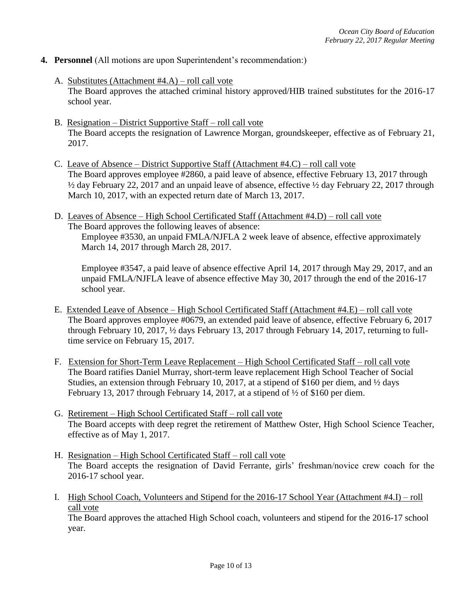- **4. Personnel** (All motions are upon Superintendent's recommendation:)
	- A. Substitutes (Attachment #4.A) roll call vote The Board approves the attached criminal history approved/HIB trained substitutes for the 2016-17 school year.
	- B. Resignation District Supportive Staff roll call vote The Board accepts the resignation of Lawrence Morgan, groundskeeper, effective as of February 21, 2017.
	- C. Leave of Absence District Supportive Staff (Attachment #4.C) roll call vote The Board approves employee #2860, a paid leave of absence, effective February 13, 2017 through ½ day February 22, 2017 and an unpaid leave of absence, effective ½ day February 22, 2017 through March 10, 2017, with an expected return date of March 13, 2017.
	- D. Leaves of Absence High School Certificated Staff (Attachment #4.D) roll call vote The Board approves the following leaves of absence:

Employee #3530, an unpaid FMLA/NJFLA 2 week leave of absence, effective approximately March 14, 2017 through March 28, 2017.

Employee #3547, a paid leave of absence effective April 14, 2017 through May 29, 2017, and an unpaid FMLA/NJFLA leave of absence effective May 30, 2017 through the end of the 2016-17 school year.

- E. Extended Leave of Absence High School Certificated Staff (Attachment #4.E) roll call vote The Board approves employee #0679, an extended paid leave of absence, effective February 6, 2017 through February 10, 2017, ½ days February 13, 2017 through February 14, 2017, returning to fulltime service on February 15, 2017.
- F. Extension for Short-Term Leave Replacement High School Certificated Staff roll call vote The Board ratifies Daniel Murray, short-term leave replacement High School Teacher of Social Studies, an extension through February 10, 2017, at a stipend of \$160 per diem, and ½ days February 13, 2017 through February 14, 2017, at a stipend of  $\frac{1}{2}$  of \$160 per diem.
- G. Retirement High School Certificated Staff roll call vote The Board accepts with deep regret the retirement of Matthew Oster, High School Science Teacher, effective as of May 1, 2017.
- H. Resignation High School Certificated Staff roll call vote The Board accepts the resignation of David Ferrante, girls' freshman/novice crew coach for the 2016-17 school year.
- I. High School Coach, Volunteers and Stipend for the 2016-17 School Year (Attachment #4.I) roll call vote

The Board approves the attached High School coach, volunteers and stipend for the 2016-17 school year.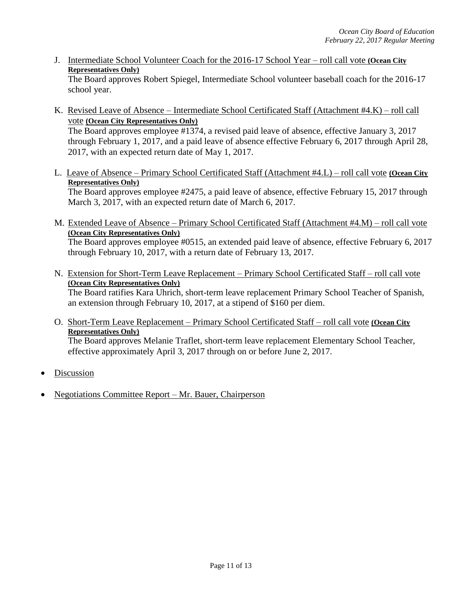J. Intermediate School Volunteer Coach for the 2016-17 School Year – roll call vote **(Ocean City Representatives Only)**

The Board approves Robert Spiegel, Intermediate School volunteer baseball coach for the 2016-17 school year.

- K. Revised Leave of Absence Intermediate School Certificated Staff (Attachment #4.K) roll call vote **(Ocean City Representatives Only)**  The Board approves employee #1374, a revised paid leave of absence, effective January 3, 2017 through February 1, 2017, and a paid leave of absence effective February 6, 2017 through April 28, 2017, with an expected return date of May 1, 2017.
- L. Leave of Absence Primary School Certificated Staff (Attachment #4.L) roll call vote **(Ocean City Representatives Only)** The Board approves employee #2475, a paid leave of absence, effective February 15, 2017 through March 3, 2017, with an expected return date of March 6, 2017.
- M. Extended Leave of Absence Primary School Certificated Staff (Attachment #4.M) roll call vote **(Ocean City Representatives Only)** The Board approves employee #0515, an extended paid leave of absence, effective February 6, 2017 through February 10, 2017, with a return date of February 13, 2017.
- N. Extension for Short-Term Leave Replacement Primary School Certificated Staff roll call vote **(Ocean City Representatives Only)** The Board ratifies Kara Uhrich, short-term leave replacement Primary School Teacher of Spanish, an extension through February 10, 2017, at a stipend of \$160 per diem.
- O. Short-Term Leave Replacement Primary School Certificated Staff roll call vote **(Ocean City Representatives Only)** The Board approves Melanie Traflet, short-term leave replacement Elementary School Teacher, effective approximately April 3, 2017 through on or before June 2, 2017.
- Discussion
- Negotiations Committee Report Mr. Bauer, Chairperson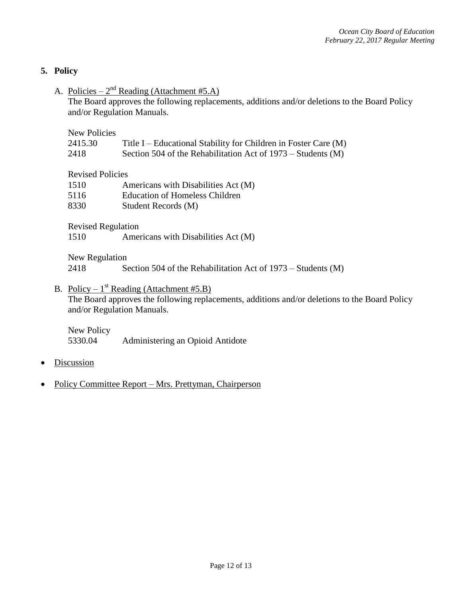### **5. Policy**

A. Policies –  $2<sup>nd</sup>$  Reading (Attachment #5.A)

The Board approves the following replacements, additions and/or deletions to the Board Policy and/or Regulation Manuals.

New Policies

| 2415.30 | Title I – Educational Stability for Children in Foster Care (M) |
|---------|-----------------------------------------------------------------|
|---------|-----------------------------------------------------------------|

2418 Section 504 of the Rehabilitation Act of 1973 – Students (M)

Revised Policies

| 1510 |  |  | Americans with Disabilities Act (M) |  |
|------|--|--|-------------------------------------|--|
|------|--|--|-------------------------------------|--|

5116 Education of Homeless Children

8330 Student Records (M)

Revised Regulation

1510 Americans with Disabilities Act (M)

New Regulation

2418 Section 504 of the Rehabilitation Act of 1973 – Students (M)

# B. Policy –  $1^{st}$  Reading (Attachment #5.B)

The Board approves the following replacements, additions and/or deletions to the Board Policy and/or Regulation Manuals.

New Policy 5330.04 Administering an Opioid Antidote

- Discussion
- Policy Committee Report Mrs. Prettyman, Chairperson